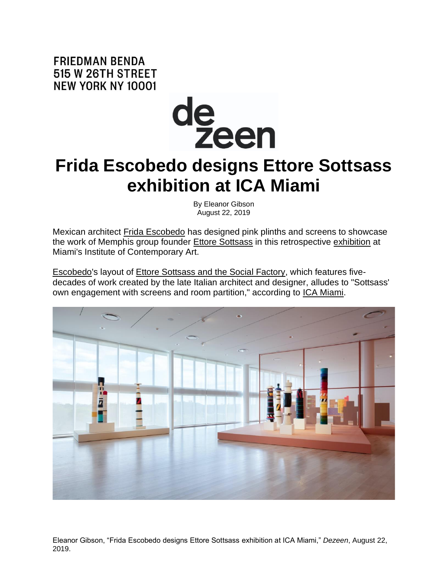**FRIEDMAN BENDA** 515 W 26TH STREET **NEW YORK NY 10001** 



## **Frida Escobedo designs Ettore Sottsass exhibition at ICA Miami**

By Eleanor Gibson August 22, 2019

Mexican architect [Frida Escobedo](https://www.dezeen.com/tag/frida-escobedo/) has designed pink plinths and screens to showcase the work of Memphis group founder [Ettore Sottsass](https://www.dezeen.com/tag/ettore-sottsass/) in this retrospective [exhibition](https://www.dezeen.com/tag/exhibitions-tag/) at Miami's Institute of Contemporary Art.

[Escobedo's](https://fridaescobedo.com/) layout of [Ettore Sottsass and the Social Factory,](https://icamiami.org/exhibition/ettore-sottsass/) which features fivedecades of work created by the late Italian architect and designer, alludes to "Sottsass' own engagement with screens and room partition," according to [ICA Miami.](https://icamiami.org/)



Eleanor Gibson, "Frida Escobedo designs Ettore Sottsass exhibition at ICA Miami," *Dezeen*, August 22, 2019.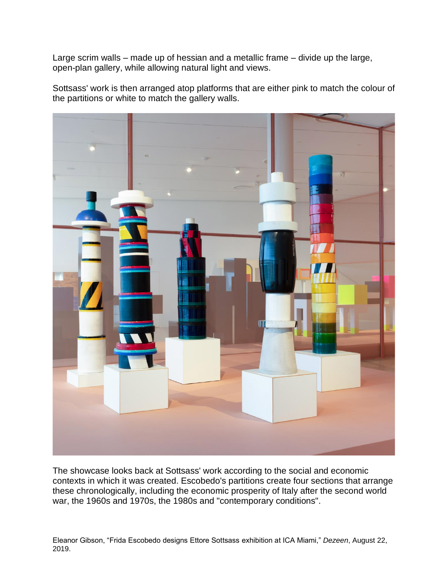Large scrim walls – made up of hessian and a metallic frame – divide up the large, open-plan gallery, while allowing natural light and views.

Sottsass' work is then arranged atop platforms that are either pink to match the colour of the partitions or white to match the gallery walls.



The showcase looks back at Sottsass' work according to the social and economic contexts in which it was created. Escobedo's partitions create four sections that arrange these chronologically, including the economic prosperity of Italy after the second world war, the 1960s and 1970s, the 1980s and "contemporary conditions".

Eleanor Gibson, "Frida Escobedo designs Ettore Sottsass exhibition at ICA Miami," *Dezeen*, August 22, 2019.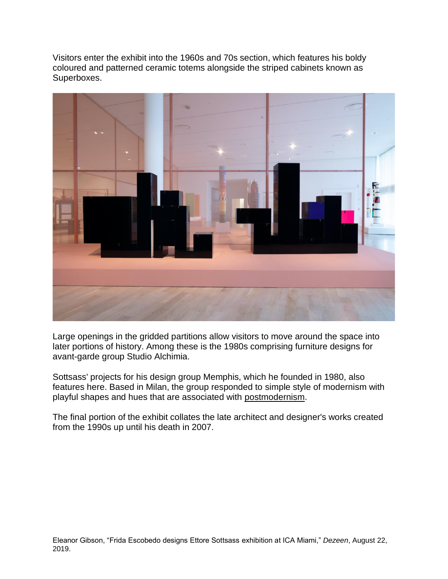Visitors enter the exhibit into the 1960s and 70s section, which features his boldy coloured and patterned ceramic totems alongside the striped cabinets known as Superboxes.



Large openings in the gridded partitions allow visitors to move around the space into later portions of history. Among these is the 1980s comprising furniture designs for avant-garde group Studio Alchimia.

Sottsass' projects for his design group Memphis, which he founded in 1980, also features here. Based in Milan, the group responded to simple style of modernism with playful shapes and hues that are associated with [postmodernism.](https://www.dezeen.com/postmodernism)

The final portion of the exhibit collates the late architect and designer's works created from the 1990s up until his death in 2007.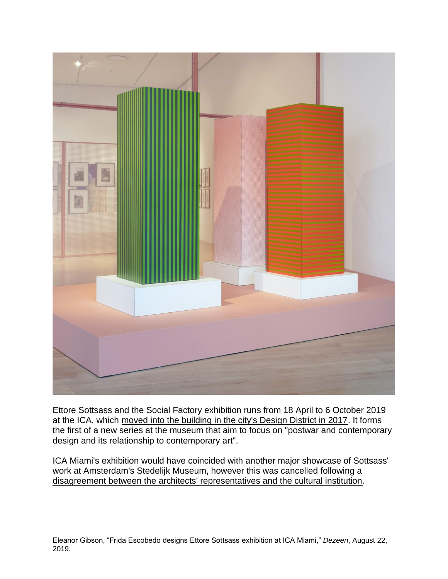

Ettore Sottsass and the Social Factory exhibition runs from 18 April to 6 October 2019 at the ICA, which [moved into the building in the city's Design District in 2017.](https://www.dezeen.com/2017/12/05/institute-contemporary-art-ica-miami-opens-permanent-home-metal-faced-building-aranguren-gallegos-design-district/) It forms the first of a new series at the museum that aim to focus on "postwar and contemporary design and its relationship to contemporary art".

ICA Miami's exhibition would have coincided with another major showcase of Sottsass' work at Amsterdam's Stedelijk [Museum,](https://www.dezeen.com/tag/stedelijk-museum/) however this was cancelled following a [disagreement between the architects' representatives and the cultural institution.](https://www.dezeen.com/2018/01/23/stedelijk-museum-cancels-ettore-sottsass-retrospective-design/)